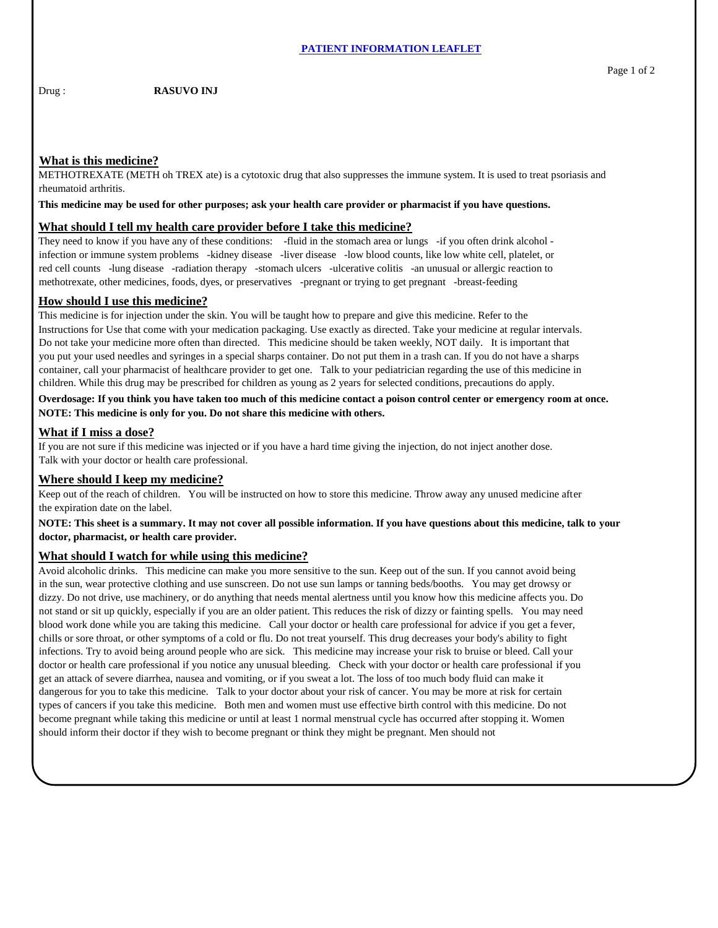# **What is this medicine?**

METHOTREXATE (METH oh TREX ate) is a cytotoxic drug that also suppresses the immune system. It is used to treat psoriasis and rheumatoid arthritis.

**This medicine may be used for other purposes; ask your health care provider or pharmacist if you have questions.**

### **What should I tell my health care provider before I take this medicine?**

They need to know if you have any of these conditions: -fluid in the stomach area or lungs -if you often drink alcohol infection or immune system problems -kidney disease -liver disease -low blood counts, like low white cell, platelet, or red cell counts -lung disease -radiation therapy -stomach ulcers -ulcerative colitis -an unusual or allergic reaction to methotrexate, other medicines, foods, dyes, or preservatives -pregnant or trying to get pregnant -breast-feeding

### **How should I use this medicine?**

This medicine is for injection under the skin. You will be taught how to prepare and give this medicine. Refer to the Instructions for Use that come with your medication packaging. Use exactly as directed. Take your medicine at regular intervals. Do not take your medicine more often than directed. This medicine should be taken weekly, NOT daily. It is important that you put your used needles and syringes in a special sharps container. Do not put them in a trash can. If you do not have a sharps container, call your pharmacist of healthcare provider to get one. Talk to your pediatrician regarding the use of this medicine in children. While this drug may be prescribed for children as young as 2 years for selected conditions, precautions do apply.

**Overdosage: If you think you have taken too much of this medicine contact a poison control center or emergency room at once. NOTE: This medicine is only for you. Do not share this medicine with others.**

### **What if I miss a dose?**

If you are not sure if this medicine was injected or if you have a hard time giving the injection, do not inject another dose. Talk with your doctor or health care professional.

## **Where should I keep my medicine?**

Keep out of the reach of children. You will be instructed on how to store this medicine. Throw away any unused medicine after the expiration date on the label.

**NOTE: This sheet is a summary. It may not cover all possible information. If you have questions about this medicine, talk to your doctor, pharmacist, or health care provider.**

### **What should I watch for while using this medicine?**

Avoid alcoholic drinks. This medicine can make you more sensitive to the sun. Keep out of the sun. If you cannot avoid being in the sun, wear protective clothing and use sunscreen. Do not use sun lamps or tanning beds/booths. You may get drowsy or dizzy. Do not drive, use machinery, or do anything that needs mental alertness until you know how this medicine affects you. Do not stand or sit up quickly, especially if you are an older patient. This reduces the risk of dizzy or fainting spells. You may need blood work done while you are taking this medicine. Call your doctor or health care professional for advice if you get a fever, chills or sore throat, or other symptoms of a cold or flu. Do not treat yourself. This drug decreases your body's ability to fight infections. Try to avoid being around people who are sick. This medicine may increase your risk to bruise or bleed. Call your doctor or health care professional if you notice any unusual bleeding. Check with your doctor or health care professional if you get an attack of severe diarrhea, nausea and vomiting, or if you sweat a lot. The loss of too much body fluid can make it dangerous for you to take this medicine. Talk to your doctor about your risk of cancer. You may be more at risk for certain types of cancers if you take this medicine. Both men and women must use effective birth control with this medicine. Do not become pregnant while taking this medicine or until at least 1 normal menstrual cycle has occurred after stopping it. Women should inform their doctor if they wish to become pregnant or think they might be pregnant. Men should not